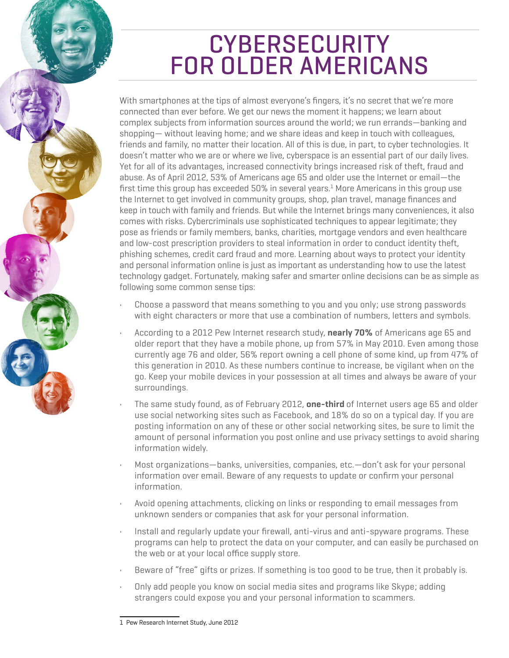# **CYBERSECURITY** l. FOR OLDER AMERICANS

With smartphones at the tips of almost everyone's fingers, it's no secret that we're more connected than ever before. We get our news the moment it happens; we learn about complex subjects from information sources around the world; we run errands—banking and shopping— without leaving home; and we share ideas and keep in touch with colleagues, friends and family, no matter their location. All of this is due, in part, to cyber technologies. It doesn't matter who we are or where we live, cyberspace is an essential part of our daily lives. Yet for all of its advantages, increased connectivity brings increased risk of theft, fraud and abuse. As of April 2012, 53% of Americans age 65 and older use the Internet or email—the first time this group has exceeded 50% in several years. $^1$  More Americans in this group use the Internet to get involved in community groups, shop, plan travel, manage finances and keep in touch with family and friends. But while the Internet brings many conveniences, it also comes with risks. Cybercriminals use sophisticated techniques to appear legitimate; they pose as friends or family members, banks, charities, mortgage vendors and even healthcare and low-cost prescription providers to steal information in order to conduct identity theft, phishing schemes, credit card fraud and more. Learning about ways to protect your identity and personal information online is just as important as understanding how to use the latest technology gadget. Fortunately, making safer and smarter online decisions can be as simple as following some common sense tips:

- Choose a password that means something to you and you only; use strong passwords with eight characters or more that use a combination of numbers, letters and symbols.
- According to a 2012 Pew Internet research study, **nearly 70%** of Americans age 65 and older report that they have a mobile phone, up from 57% in May 2010. Even among those currently age 76 and older, 56% report owning a cell phone of some kind, up from 47% of this generation in 2010. As these numbers continue to increase, be vigilant when on the go. Keep your mobile devices in your possession at all times and always be aware of your surroundings.
- The same study found, as of February 2012, **one-third** of Internet users age 65 and older use social networking sites such as Facebook, and 18% do so on a typical day. If you are posting information on any of these or other social networking sites, be sure to limit the amount of personal information you post online and use privacy settings to avoid sharing information widely.
- Most organizations—banks, universities, companies, etc.—don't ask for your personal information over email. Beware of any requests to update or confirm your personal information.
- Avoid opening attachments, clicking on links or responding to email messages from unknown senders or companies that ask for your personal information.
- Install and regularly update your firewall, anti-virus and anti-spyware programs. These programs can help to protect the data on your computer, and can easily be purchased on the web or at your local office supply store.
- Beware of "free" gifts or prizes. If something is too good to be true, then it probably is.
- Only add people you know on social media sites and programs like Skype; adding strangers could expose you and your personal information to scammers.

<sup>1</sup> Pew Research Internet Study, June 2012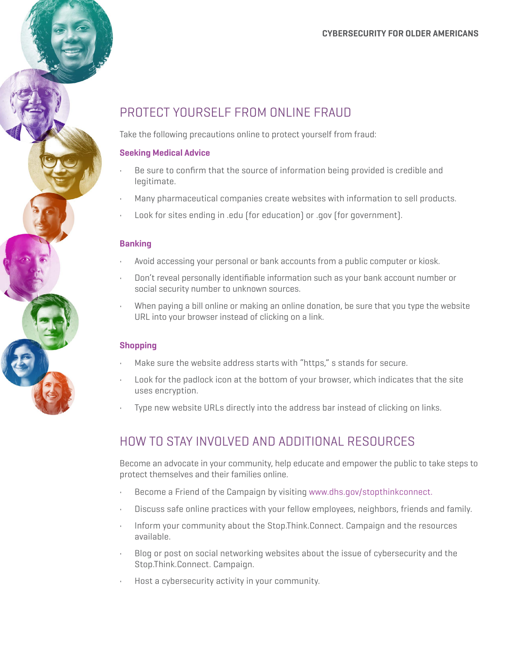#### **CYBERSECURITY FOR OLDER AMERICANS**

### PROTECT YOURSELF FROM ONLINE FRAUD

Take the following precautions online to protect yourself from fraud:

#### **Seeking Medical Advice**

- Be sure to confirm that the source of information being provided is credible and legitimate.
- Many pharmaceutical companies create websites with information to sell products.
- Look for sites ending in .edu (for education) or .gov (for government).

#### **Banking**

- Avoid accessing your personal or bank accounts from a public computer or kiosk.
- Don't reveal personally identifiable information such as your bank account number or social security number to unknown sources.
- When paying a bill online or making an online donation, be sure that you type the website URL into your browser instead of clicking on a link.

#### **Shopping**

- Make sure the website address starts with "https," is stands for secure.
- Look for the padlock icon at the bottom of your browser, which indicates that the site uses encryption.
- Type new website URLs directly into the address bar instead of clicking on links.

### HOW TO STAY INVOLVED AND ADDITIONAL RESOURCES

Become an advocate in your community, help educate and empower the public to take steps to protect themselves and their families online.

- Become a Friend of the Campaign by visiting [www.dhs.gov/stopthinkconnect](http://www.dhs.gov/stopthinkconnect).
- Discuss safe online practices with your fellow employees, neighbors, friends and family.
- Inform your community about the Stop.Think.Connect. Campaign and the resources available.
- Blog or post on social networking websites about the issue of cybersecurity and the Stop.Think.Connect. Campaign.
- Host a cybersecurity activity in your community.